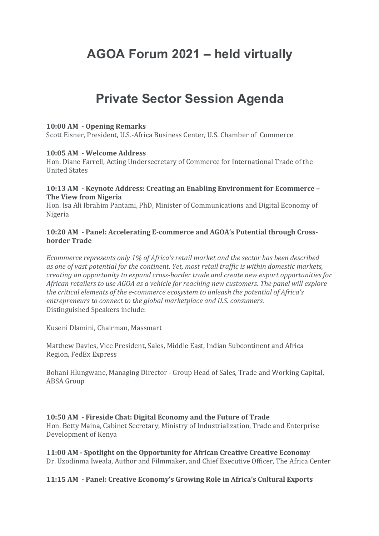# **AGOA Forum 2021 – held virtually**

## **Private Sector Session Agenda**

#### **10:00 AM - Opening Remarks**

Scott Eisner, President, U.S.-Africa Business Center, U.S. Chamber of Commerce

#### **10:05 AM - Welcome Address**

Hon. Diane Farrell, Acting Undersecretary of Commerce for International Trade of the United States

#### **10:13 AM - Keynote Address: Creating an Enabling Environment for Ecommerce – The View from Nigeria**

Hon. Isa Ali Ibrahim Pantami, PhD, Minister of Communications and Digital Economy of Nigeria

#### **10:20 AM - Panel: Accelerating E-commerce and AGOA's Potential through Crossborder Trade**

*Ecommerce represents only 1% of Africa's retail market and the sector has been described as one of vast potential for the continent. Yet, most retail traffic is within domestic markets, creating an opportunity to expand cross-border trade and create new export opportunities for African retailers to use AGOA as a vehicle for reaching new customers. The panel will explore the critical elements of the e-commerce ecosystem to unleash the potential of Africa's entrepreneurs to connect to the global marketplace and U.S. consumers.* Distinguished Speakers include: 

Kuseni Dlamini, Chairman, Massmart

Matthew Davies, Vice President, Sales, Middle East, Indian Subcontinent and Africa Region, FedEx Express

Bohani Hlungwane, Managing Director - Group Head of Sales, Trade and Working Capital, ABSA Group

## **10:50 AM - Fireside Chat: Digital Economy and the Future of Trade**

Hon. Betty Maina, Cabinet Secretary, Ministry of Industrialization, Trade and Enterprise Development of Kenya

**11:00 AM - Spotlight on the Opportunity for African Creative Creative Economy** Dr. Uzodinma Iweala, Author and Filmmaker, and Chief Executive Officer, The Africa Center

#### **11:15 AM - Panel: Creative Economy's Growing Role in Africa's Cultural Exports**